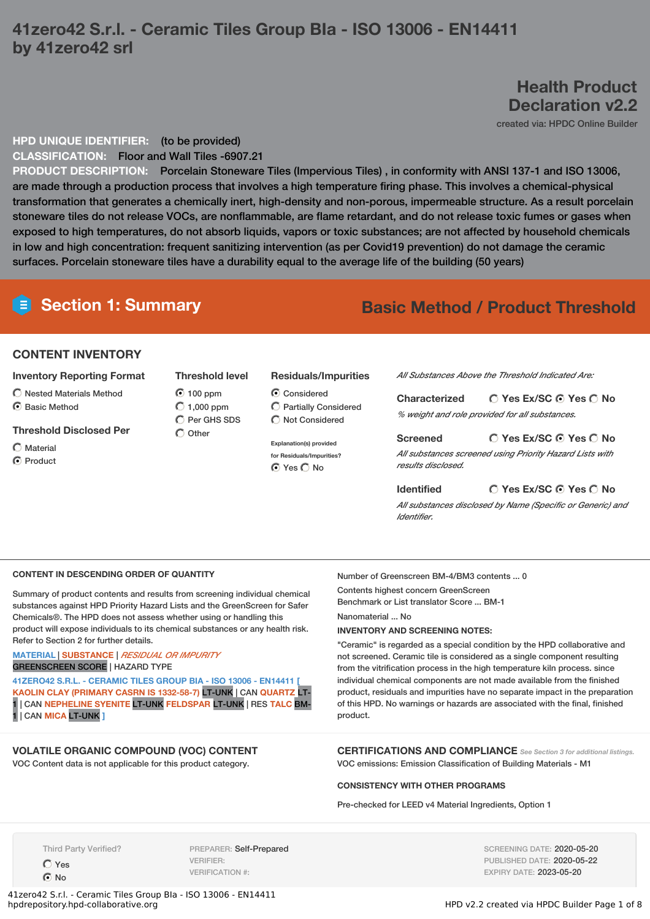# **41zero42 S.r.l. - Ceramic Tiles Group BIa - ISO 13006 - EN14411 by 41zero42 srl**

# **Health Product Declaration v2.2**

created via: HPDC Online Builder

# **HPD UNIQUE IDENTIFIER:** (to be provided)

**CLASSIFICATION:** Floor and Wall Tiles -6907.21

**PRODUCT DESCRIPTION:** Porcelain Stoneware Tiles (Impervious Tiles) , in conformity with ANSI 137-1 and ISO 13006, are made through a production process that involves a high temperature firing phase. This involves a chemical-physical transformation that generates a chemically inert, high-density and non-porous, impermeable structure. As a result porcelain stoneware tiles do not release VOCs, are nonflammable, are flame retardant, and do not release toxic fumes or gases when exposed to high temperatures, do not absorb liquids, vapors or toxic substances; are not affected by household chemicals in low and high concentration: frequent sanitizing intervention (as per Covid19 prevention) do not damage the ceramic surfaces. Porcelain stoneware tiles have a durability equal to the average life of the building (50 years)

# **CONTENT INVENTORY**

## **Inventory Reporting Format**

- Nested Materials Method
- C Basic Method

## **Threshold Disclosed Per**

- $\bigcap$  Material
- C Product

# **Threshold level**  $\bigcirc$  100 ppm

 $\bigcirc$  1,000 ppm  $\overline{O}$  Per GHS SDS  $\bigcirc$  Other

> **Explanation(s) provided for Residuals/Impurities?** ⊙ Yes O No

Considered

**Residuals/Impurities**

Partially Considered  $\bigcirc$  Not Considered

# **Section 1: Summary Basic Method / Product Threshold**

*All Substances Above the Threshold Indicated Are:*

**Yes Ex/SC Yes No Characterized** *% weight and role provided for all substances.*

**Yes Ex/SC Yes No Screened** *All substances screened using Priority Hazard Lists with results disclosed.*

**Identified**

# **Yes Ex/SC Yes No**

*All substances disclosed by Name (Specific or Generic) and Identifier.*

### **CONTENT IN DESCENDING ORDER OF QUANTITY**

Summary of product contents and results from screening individual chemical substances against HPD Priority Hazard Lists and the GreenScreen for Safer Chemicals®. The HPD does not assess whether using or handling this product will expose individuals to its chemical substances or any health risk. Refer to Section 2 for further details.

## **MATERIAL** | **SUBSTANCE** | *RESIDUAL OR IMPURITY* GREENSCREEN SCORE | HAZARD TYPE

**41ZERO42 S.R.L. - CERAMIC TILES GROUP BIA - ISO 13006 - EN14411 [ KAOLIN CLAY (PRIMARY CASRN IS 1332-58-7)** LT-UNK | CAN **QUARTZ** LT-1 | CAN **NEPHELINE SYENITE** LT-UNK **FELDSPAR** LT-UNK | RES **TALC** BM-1 | CAN **MICA** LT-UNK **]**

# **VOLATILE ORGANIC COMPOUND (VOC) CONTENT**

VOC Content data is not applicable for this product category.

Number of Greenscreen BM-4/BM3 contents ... 0 Contents highest concern GreenScreen Benchmark or List translator Score ... BM-1 Nanomaterial ... No **INVENTORY AND SCREENING NOTES:**

"Ceramic" is regarded as a special condition by the HPD collaborative and not screened. Ceramic tile is considered as a single component resulting from the vitrification process in the high temperature kiln process. since individual chemical components are not made available from the finished product, residuals and impurities have no separate impact in the preparation of this HPD. No warnings or hazards are associated with the final, finished product.

**CERTIFICATIONS AND COMPLIANCE** *See Section <sup>3</sup> for additional listings.* VOC emissions: Emission Classification of Building Materials - M1

#### **CONSISTENCY WITH OTHER PROGRAMS**

Pre-checked for LEED v4 Material Ingredients, Option 1

Third Party Verified?

Yes **⊙**No

PREPARER: Self-Prepared VERIFIER: VERIFICATION #:

SCREENING DATE: 2020-05-20 PUBLISHED DATE: 2020-05-22 EXPIRY DATE: 2023-05-20

41zero42 S.r.l. - Ceramic Tiles Group BIa - ISO 13006 - EN14411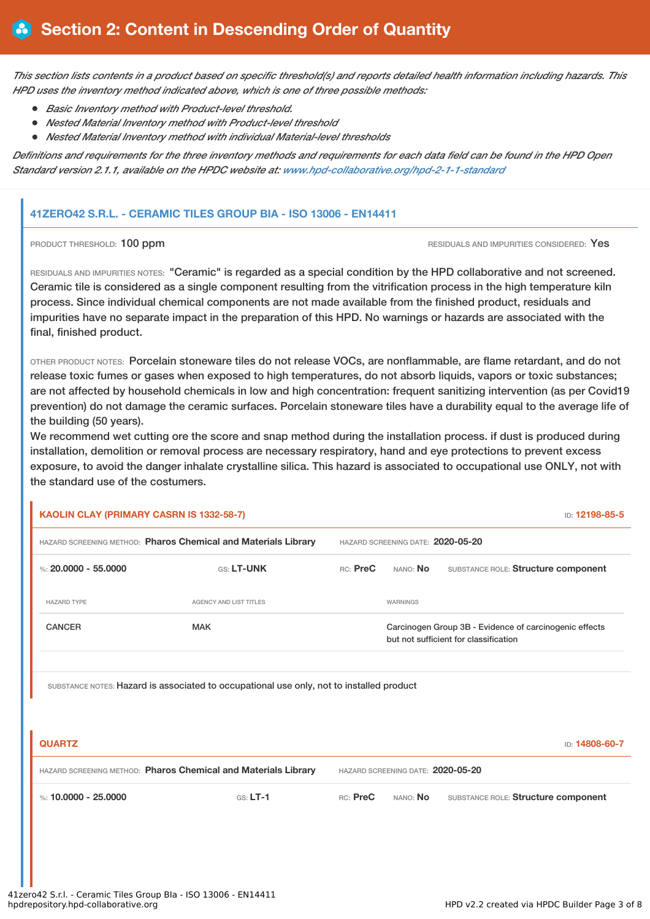This section lists contents in a product based on specific threshold(s) and reports detailed health information including hazards. This *HPD uses the inventory method indicated above, which is one of three possible methods:*

- *Basic Inventory method with Product-level threshold.*
- *Nested Material Inventory method with Product-level threshold*
- *Nested Material Inventory method with individual Material-level thresholds*

Definitions and requirements for the three inventory methods and requirements for each data field can be found in the HPD Open *Standard version 2.1.1, available on the HPDC website at: [www.hpd-collaborative.org/hpd-2-1-1-standard](https://www.hpd-collaborative.org/hpd-2-1-1-standard)*

# **41ZERO42 S.R.L. - CERAMIC TILES GROUP BIA - ISO 13006 - EN14411**

**PRODUCT THRESHOLD: 100 ppm RESIDUALS** AND IMPURITIES CONSIDERED: Yes

RESIDUALS AND IMPURITIES NOTES: "Ceramic" is regarded as a special condition by the HPD collaborative and not screened. Ceramic tile is considered as a single component resulting from the vitrification process in the high temperature kiln process. Since individual chemical components are not made available from the finished product, residuals and impurities have no separate impact in the preparation of this HPD. No warnings or hazards are associated with the final, finished product.

OTHER PRODUCT NOTES: Porcelain stoneware tiles do not release VOCs, are nonflammable, are flame retardant, and do not release toxic fumes or gases when exposed to high temperatures, do not absorb liquids, vapors or toxic substances; are not affected by household chemicals in low and high concentration: frequent sanitizing intervention (as per Covid19 prevention) do not damage the ceramic surfaces. Porcelain stoneware tiles have a durability equal to the average life of the building (50 years).

We recommend wet cutting ore the score and snap method during the installation process. if dust is produced during installation, demolition or removal process are necessary respiratory, hand and eye protections to prevent excess exposure, to avoid the danger inhalate crystalline silica. This hazard is associated to occupational use ONLY, not with the standard use of the costumers.

| <b>KAOLIN CLAY (PRIMARY CASRN IS 1332-58-7)</b>                |                                                                                          |                                   |                                                                                                 | ID: 12198-85-5                      |  |
|----------------------------------------------------------------|------------------------------------------------------------------------------------------|-----------------------------------|-------------------------------------------------------------------------------------------------|-------------------------------------|--|
| HAZARD SCREENING METHOD: Pharos Chemical and Materials Library |                                                                                          | HAZARD SCREENING DATE: 2020-05-20 |                                                                                                 |                                     |  |
| %: 20,0000 - 55,0000                                           | <b>GS: LT-UNK</b>                                                                        | RC: PreC                          | NANO: <b>No</b>                                                                                 | SUBSTANCE ROLE: Structure component |  |
| <b>HAZARD TYPE</b>                                             | <b>AGENCY AND LIST TITLES</b>                                                            |                                   | WARNINGS                                                                                        |                                     |  |
| <b>CANCER</b><br>MAK                                           |                                                                                          |                                   | Carcinogen Group 3B - Evidence of carcinogenic effects<br>but not sufficient for classification |                                     |  |
|                                                                |                                                                                          |                                   |                                                                                                 |                                     |  |
|                                                                | SUBSTANCE NOTES: Hazard is associated to occupational use only, not to installed product |                                   |                                                                                                 |                                     |  |

| <b>QUARTZ</b>                                                  |            |                                   |                 | ID: 14808-60-7                      |
|----------------------------------------------------------------|------------|-----------------------------------|-----------------|-------------------------------------|
| HAZARD SCREENING METHOD: Pharos Chemical and Materials Library |            | HAZARD SCREENING DATE: 2020-05-20 |                 |                                     |
| $\%$ : 10.0000 - 25.0000                                       | $GS: LT-1$ | RC: PreC                          | nano: <b>No</b> | SUBSTANCE ROLE: Structure component |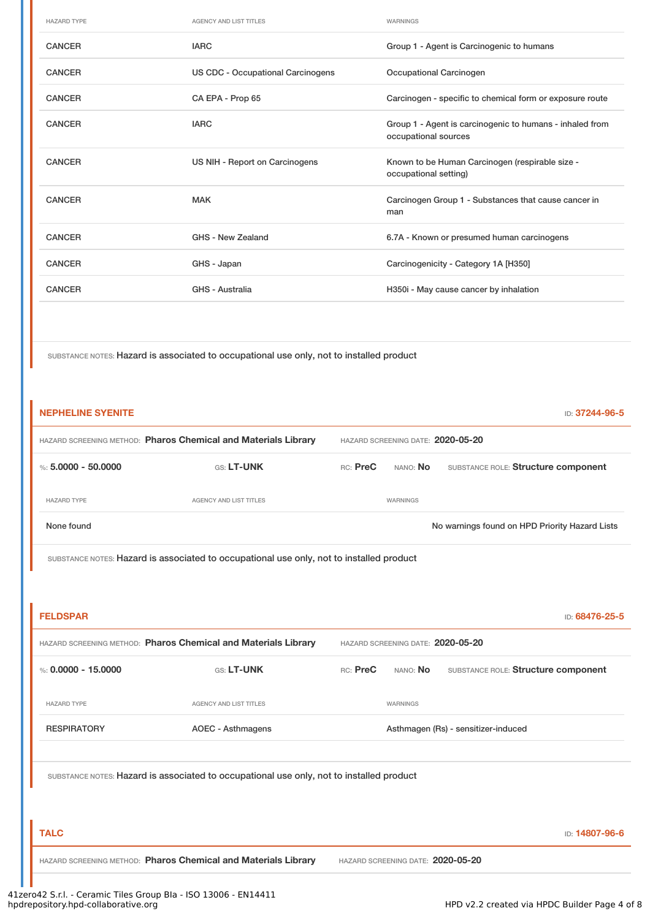| <b>HAZARD TYPE</b> | AGENCY AND LIST TITLES            | WARNINGS                                                                         |
|--------------------|-----------------------------------|----------------------------------------------------------------------------------|
| <b>CANCER</b>      | <b>IARC</b>                       | Group 1 - Agent is Carcinogenic to humans                                        |
| <b>CANCER</b>      | US CDC - Occupational Carcinogens | Occupational Carcinogen                                                          |
| <b>CANCER</b>      | CA EPA - Prop 65                  | Carcinogen - specific to chemical form or exposure route                         |
| <b>CANCER</b>      | <b>IARC</b>                       | Group 1 - Agent is carcinogenic to humans - inhaled from<br>occupational sources |
| <b>CANCER</b>      | US NIH - Report on Carcinogens    | Known to be Human Carcinogen (respirable size -<br>occupational setting)         |
| <b>CANCER</b>      | <b>MAK</b>                        | Carcinogen Group 1 - Substances that cause cancer in<br>man                      |
| <b>CANCER</b>      | GHS - New Zealand                 | 6.7A - Known or presumed human carcinogens                                       |
| <b>CANCER</b>      | GHS - Japan                       | Carcinogenicity - Category 1A [H350]                                             |
| <b>CANCER</b>      | GHS - Australia                   | H350i - May cause cancer by inhalation                                           |
|                    |                                   |                                                                                  |

SUBSTANCE NOTES: Hazard is associated to occupational use only, not to installed product

| <b>NEPHELINE SYENITE</b>                                       |                                                                                          |                                   |                                   | ID: 37244-96-5                                 |  |
|----------------------------------------------------------------|------------------------------------------------------------------------------------------|-----------------------------------|-----------------------------------|------------------------------------------------|--|
| HAZARD SCREENING METHOD: Pharos Chemical and Materials Library |                                                                                          | HAZARD SCREENING DATE: 2020-05-20 |                                   |                                                |  |
| %: $5,0000 - 50,0000$                                          | GS: LT-UNK                                                                               | RC: PreC                          | NANO: No                          | SUBSTANCE ROLE: Structure component            |  |
| <b>HAZARD TYPE</b>                                             | <b>AGENCY AND LIST TITLES</b>                                                            |                                   | WARNINGS                          |                                                |  |
| None found                                                     |                                                                                          |                                   |                                   | No warnings found on HPD Priority Hazard Lists |  |
|                                                                | SUBSTANCE NOTES: Hazard is associated to occupational use only, not to installed product |                                   |                                   |                                                |  |
|                                                                |                                                                                          |                                   |                                   |                                                |  |
| <b>FELDSPAR</b>                                                |                                                                                          |                                   |                                   | ID: 68476-25-5                                 |  |
|                                                                | HAZARD SCREENING METHOD: Pharos Chemical and Materials Library                           |                                   | HAZARD SCREENING DATE: 2020-05-20 |                                                |  |
| %: $0.0000 - 15.0000$                                          | GS: LT-UNK                                                                               | RC: PreC                          | NANO: No                          | SUBSTANCE ROLE: Structure component            |  |
| <b>HAZARD TYPE</b>                                             | <b>AGENCY AND LIST TITLES</b>                                                            |                                   | WARNINGS                          |                                                |  |
| <b>RESPIRATORY</b>                                             | <b>AOEC - Asthmagens</b>                                                                 |                                   |                                   | Asthmagen (Rs) - sensitizer-induced            |  |
|                                                                |                                                                                          |                                   |                                   |                                                |  |
|                                                                | SUBSTANCE NOTES: Hazard is associated to occupational use only, not to installed product |                                   |                                   |                                                |  |
|                                                                |                                                                                          |                                   |                                   |                                                |  |
| <b>TALC</b>                                                    |                                                                                          |                                   |                                   | ID: 14807-96-6                                 |  |
|                                                                | HAZARD SCREENING METHOD: Pharos Chemical and Materials Library                           |                                   | HAZARD SCREENING DATE: 2020-05-20 |                                                |  |
|                                                                |                                                                                          |                                   |                                   |                                                |  |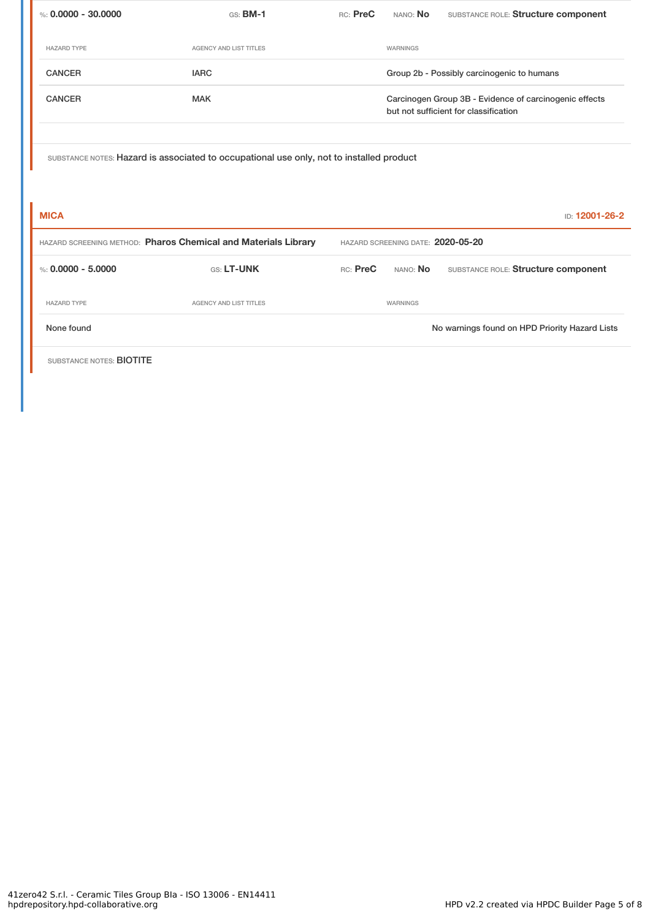| %: $0.0000 - 30.0000$    | GS: <b>BM-1</b>                                                                          | RC: PreC | NANO: No                                                                                        | SUBSTANCE ROLE: Structure component            |  |
|--------------------------|------------------------------------------------------------------------------------------|----------|-------------------------------------------------------------------------------------------------|------------------------------------------------|--|
| <b>HAZARD TYPE</b>       | <b>AGENCY AND LIST TITLES</b>                                                            |          | WARNINGS                                                                                        |                                                |  |
| <b>CANCER</b>            | <b>IARC</b>                                                                              |          |                                                                                                 | Group 2b - Possibly carcinogenic to humans     |  |
| <b>CANCER</b>            | <b>MAK</b>                                                                               |          | Carcinogen Group 3B - Evidence of carcinogenic effects<br>but not sufficient for classification |                                                |  |
|                          | SUBSTANCE NOTES: Hazard is associated to occupational use only, not to installed product |          |                                                                                                 |                                                |  |
| <b>MICA</b>              |                                                                                          |          |                                                                                                 | ID: 12001-26-2                                 |  |
|                          | HAZARD SCREENING METHOD: Pharos Chemical and Materials Library                           |          | HAZARD SCREENING DATE: 2020-05-20                                                               |                                                |  |
| %: $0.0000 - 5.0000$     | GS: LT-UNK                                                                               | RC: PreC | NANO: No                                                                                        | SUBSTANCE ROLE: Structure component            |  |
| <b>HAZARD TYPE</b>       | AGENCY AND LIST TITLES                                                                   |          | WARNINGS                                                                                        |                                                |  |
| None found               |                                                                                          |          |                                                                                                 | No warnings found on HPD Priority Hazard Lists |  |
| SUBSTANCE NOTES: BIOTITE |                                                                                          |          |                                                                                                 |                                                |  |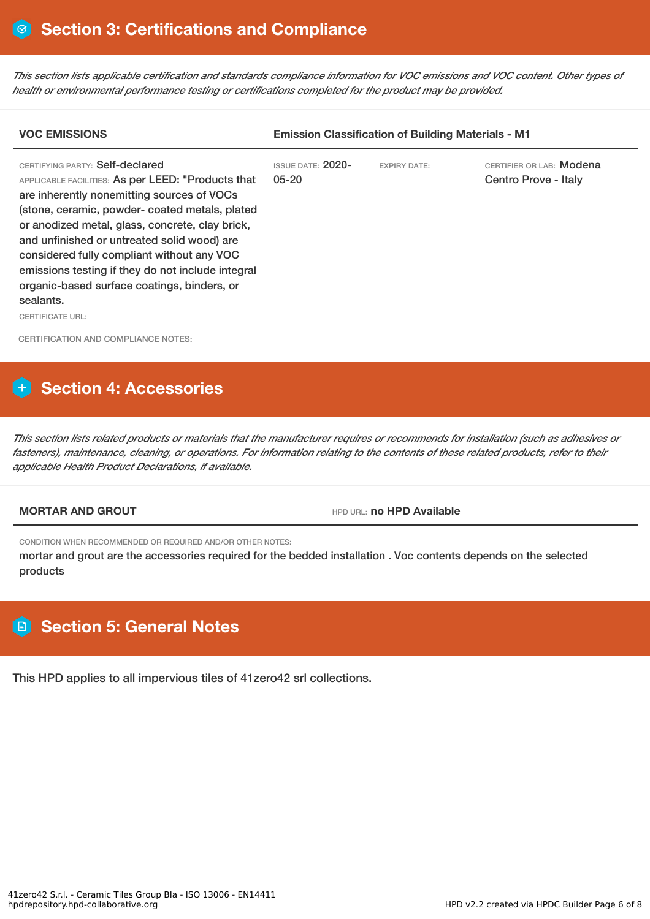This section lists applicable certification and standards compliance information for VOC emissions and VOC content. Other types of *health or environmental performance testing or certifications completed for the product may be provided.*

| <b>VOC EMISSIONS</b>                                                                                                                                                                                                                                                                                                                                                                                                                                                             | <b>Emission Classification of Building Materials - M1</b> |                     |                                                  |  |
|----------------------------------------------------------------------------------------------------------------------------------------------------------------------------------------------------------------------------------------------------------------------------------------------------------------------------------------------------------------------------------------------------------------------------------------------------------------------------------|-----------------------------------------------------------|---------------------|--------------------------------------------------|--|
| CERTIFYING PARTY: Self-declared<br>APPLICABLE FACILITIES: As per LEED: "Products that<br>are inherently nonemitting sources of VOCs<br>(stone, ceramic, powder-coated metals, plated<br>or anodized metal, glass, concrete, clay brick,<br>and unfinished or untreated solid wood) are<br>considered fully compliant without any VOC<br>emissions testing if they do not include integral<br>organic-based surface coatings, binders, or<br>sealants.<br><b>CERTIFICATE URL:</b> | <b>ISSUE DATE: 2020-</b><br>$05 - 20$                     | <b>EXPIRY DATE:</b> | CERTIFIER OR LAB: Modena<br>Centro Prove - Italy |  |
| <b>CERTIFICATION AND COMPLIANCE NOTES:</b>                                                                                                                                                                                                                                                                                                                                                                                                                                       |                                                           |                     |                                                  |  |

# **Section 4: Accessories**

This section lists related products or materials that the manufacturer requires or recommends for installation (such as adhesives or fasteners), maintenance, cleaning, or operations. For information relating to the contents of these related products, refer to their *applicable Health Product Declarations, if available.*

**MORTAR AND GROUT HED HPD** URL: **no HPD Available** 

CONDITION WHEN RECOMMENDED OR REQUIRED AND/OR OTHER NOTES:

mortar and grout are the accessories required for the bedded installation . Voc contents depends on the selected products

# **Section 5: General Notes**

This HPD applies to all impervious tiles of 41zero42 srl collections.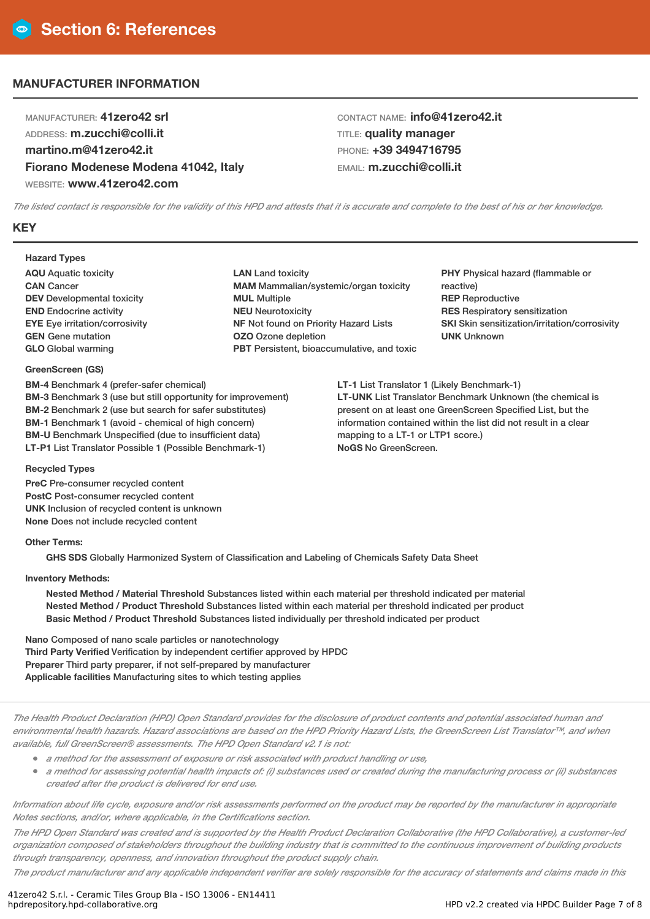# **MANUFACTURER INFORMATION**

MANUFACTURER: **41zero42 srl** ADDRESS: **m.zucchi@colli.it martino.m@41zero42.it Fiorano Modenese Modena 41042, Italy** WEBSITE: **www.41zero42.com**

CONTACT NAME: **info@41zero42.it** TITLE: **quality manager** PHONE: **+39 3494716795** EMAIL: **m.zucchi@colli.it**

The listed contact is responsible for the validity of this HPD and attests that it is accurate and complete to the best of his or her knowledge.

# **KEY**

### **Hazard Types**

**AQU** Aquatic toxicity **CAN** Cancer **DEV** Developmental toxicity **END** Endocrine activity **EYE** Eye irritation/corrosivity **GEN** Gene mutation **GLO** Global warming

## **GreenScreen (GS)**

**BM-4** Benchmark 4 (prefer-safer chemical) **BM-3** Benchmark 3 (use but still opportunity for improvement) **BM-2** Benchmark 2 (use but search for safer substitutes) **BM-1** Benchmark 1 (avoid - chemical of high concern) **BM-U** Benchmark Unspecified (due to insufficient data) **LT-P1** List Translator Possible 1 (Possible Benchmark-1)

**LAN** Land toxicity **MAM** Mammalian/systemic/organ toxicity **MUL** Multiple **NEU** Neurotoxicity **NF** Not found on Priority Hazard Lists **OZO** Ozone depletion **PBT** Persistent, bioaccumulative, and toxic **PHY** Physical hazard (flammable or reactive) **REP** Reproductive **RES** Respiratory sensitization **SKI** Skin sensitization/irritation/corrosivity **UNK** Unknown

**LT-1** List Translator 1 (Likely Benchmark-1) **LT-UNK** List Translator Benchmark Unknown (the chemical is present on at least one GreenScreen Specified List, but the information contained within the list did not result in a clear mapping to a LT-1 or LTP1 score.) **NoGS** No GreenScreen.

#### **Recycled Types**

**PreC** Pre-consumer recycled content **PostC** Post-consumer recycled content **UNK** Inclusion of recycled content is unknown **None** Does not include recycled content

### **Other Terms:**

**GHS SDS** Globally Harmonized System of Classification and Labeling of Chemicals Safety Data Sheet

## **Inventory Methods:**

**Nested Method / Material Threshold** Substances listed within each material per threshold indicated per material **Nested Method / Product Threshold** Substances listed within each material per threshold indicated per product **Basic Method / Product Threshold** Substances listed individually per threshold indicated per product

**Nano** Composed of nano scale particles or nanotechnology **Third Party Verified** Verification by independent certifier approved by HPDC **Preparer** Third party preparer, if not self-prepared by manufacturer **Applicable facilities** Manufacturing sites to which testing applies

The Health Product Declaration (HPD) Open Standard provides for the disclosure of product contents and potential associated human and environmental health hazards. Hazard associations are based on the HPD Priority Hazard Lists, the GreenScreen List Translator™, and when *available, full GreenScreen® assessments. The HPD Open Standard v2.1 is not:*

- *<sup>a</sup> method for the assessment of exposure or risk associated with product handling or use,*
- a method for assessing potential health impacts of: (i) substances used or created during the manufacturing process or (ii) substances *created after the product is delivered for end use.*

Information about life cycle, exposure and/or risk assessments performed on the product may be reported by the manufacturer in appropriate *Notes sections, and/or, where applicable, in the Certifications section.*

The HPD Open Standard was created and is supported by the Health Product Declaration Collaborative (the HPD Collaborative), a customer-led organization composed of stakeholders throughout the building industry that is committed to the continuous improvement of building products *through transparency, openness, and innovation throughout the product supply chain.*

The product manufacturer and any applicable independent verifier are solely responsible for the accuracy of statements and claims made in this

41zero42 S.r.l. - Ceramic Tiles Group BIa - ISO 13006 - EN14411